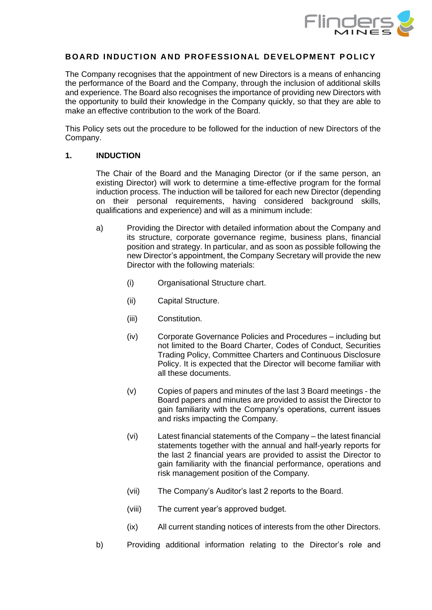

# **BOARD INDUCTION AND PROFESSIO NAL DEVELOPMENT P O LICY**

The Company recognises that the appointment of new Directors is a means of enhancing the performance of the Board and the Company, through the inclusion of additional skills and experience. The Board also recognises the importance of providing new Directors with the opportunity to build their knowledge in the Company quickly, so that they are able to make an effective contribution to the work of the Board.

This Policy sets out the procedure to be followed for the induction of new Directors of the Company.

### **1. INDUCTION**

The Chair of the Board and the Managing Director (or if the same person, an existing Director) will work to determine a time-effective program for the formal induction process. The induction will be tailored for each new Director (depending on their personal requirements, having considered background skills, qualifications and experience) and will as a minimum include:

- a) Providing the Director with detailed information about the Company and its structure, corporate governance regime, business plans, financial position and strategy. In particular, and as soon as possible following the new Director's appointment, the Company Secretary will provide the new Director with the following materials:
	- (i) Organisational Structure chart.
	- (ii) Capital Structure.
	- (iii) Constitution.
	- (iv) Corporate Governance Policies and Procedures including but not limited to the Board Charter, Codes of Conduct, Securities Trading Policy, Committee Charters and Continuous Disclosure Policy. It is expected that the Director will become familiar with all these documents.
	- (v) Copies of papers and minutes of the last 3 Board meetings the Board papers and minutes are provided to assist the Director to gain familiarity with the Company's operations, current issues and risks impacting the Company.
	- (vi) Latest financial statements of the Company the latest financial statements together with the annual and half-yearly reports for the last 2 financial years are provided to assist the Director to gain familiarity with the financial performance, operations and risk management position of the Company.
	- (vii) The Company's Auditor's last 2 reports to the Board.
	- (viii) The current year's approved budget.
	- (ix) All current standing notices of interests from the other Directors.
- b) Providing additional information relating to the Director's role and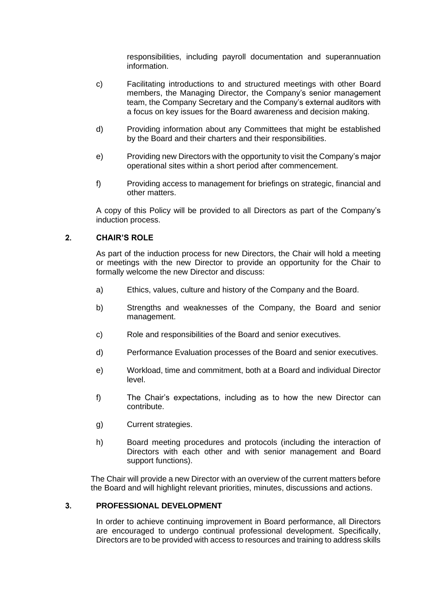responsibilities, including payroll documentation and superannuation information.

- c) Facilitating introductions to and structured meetings with other Board members, the Managing Director, the Company's senior management team, the Company Secretary and the Company's external auditors with a focus on key issues for the Board awareness and decision making.
- d) Providing information about any Committees that might be established by the Board and their charters and their responsibilities.
- e) Providing new Directors with the opportunity to visit the Company's major operational sites within a short period after commencement.
- f) Providing access to management for briefings on strategic, financial and other matters.

A copy of this Policy will be provided to all Directors as part of the Company's induction process.

# **2. CHAIR'S ROLE**

As part of the induction process for new Directors, the Chair will hold a meeting or meetings with the new Director to provide an opportunity for the Chair to formally welcome the new Director and discuss:

- a) Ethics, values, culture and history of the Company and the Board.
- b) Strengths and weaknesses of the Company, the Board and senior management.
- c) Role and responsibilities of the Board and senior executives.
- d) Performance Evaluation processes of the Board and senior executives.
- e) Workload, time and commitment, both at a Board and individual Director level.
- f) The Chair's expectations, including as to how the new Director can contribute.
- g) Current strategies.
- h) Board meeting procedures and protocols (including the interaction of Directors with each other and with senior management and Board support functions).

The Chair will provide a new Director with an overview of the current matters before the Board and will highlight relevant priorities, minutes, discussions and actions.

# **3. PROFESSIONAL DEVELOPMENT**

In order to achieve continuing improvement in Board performance, all Directors are encouraged to undergo continual professional development. Specifically, Directors are to be provided with access to resources and training to address skills